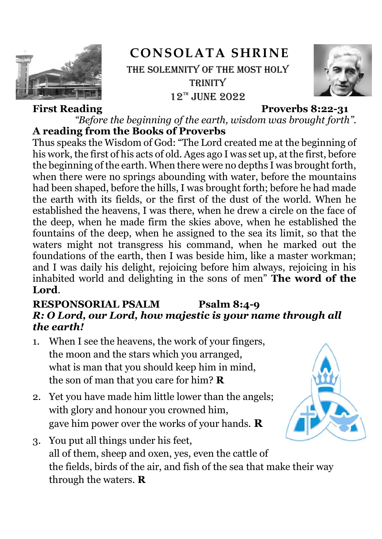

# **CONSOLATA SHRINE** THE SOLEMNITY OF THE MOST HOLY **TRINITY**  $12^{th}$  JUNE 2022



#### **First Reading Proverbs 8:22-31**

*"Before the beginning of the earth, wisdom was brought forth".* **A reading from the Books of Proverbs**

Thus speaks the Wisdom of God: "The Lord created me at the beginning of his work, the first of his acts of old. Ages ago I was set up, at the first, before the beginning of the earth. When there were no depths I was brought forth, when there were no springs abounding with water, before the mountains had been shaped, before the hills, I was brought forth; before he had made the earth with its fields, or the first of the dust of the world. When he established the heavens, I was there, when he drew a circle on the face of the deep, when he made firm the skies above, when he established the fountains of the deep, when he assigned to the sea its limit, so that the waters might not transgress his command, when he marked out the foundations of the earth, then I was beside him, like a master workman; and I was daily his delight, rejoicing before him always, rejoicing in his inhabited world and delighting in the sons of men" **The word of the Lord**.

## **RESPONSORIAL PSALM Psalm 8:4-9** *R: O Lord, our Lord, how majestic is your name through all the earth!*

- 1. When I see the heavens, the work of your fingers, the moon and the stars which you arranged, what is man that you should keep him in mind, the son of man that you care for him? **R**
- 2. Yet you have made him little lower than the angels; with glory and honour you crowned him, gave him power over the works of your hands. **R**



3. You put all things under his feet, all of them, sheep and oxen, yes, even the cattle of the fields, birds of the air, and fish of the sea that make their way through the waters. **R**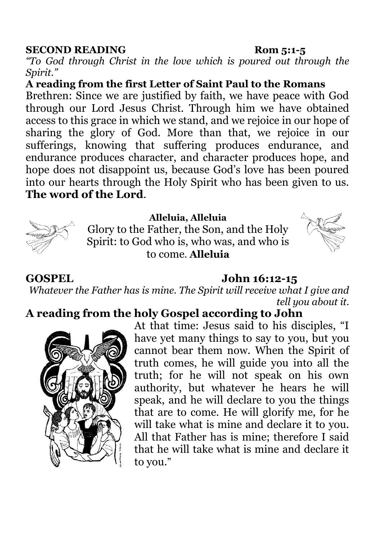#### **SECOND READING Rom 5:1-5**

*"To God through Christ in the love which is poured out through the Spirit."*

**A reading from the first Letter of Saint Paul to the Romans**

Brethren: Since we are justified by faith, we have peace with God through our Lord Jesus Christ. Through him we have obtained access to this grace in which we stand, and we rejoice in our hope of sharing the glory of God. More than that, we rejoice in our sufferings, knowing that suffering produces endurance, and endurance produces character, and character produces hope, and hope does not disappoint us, because God's love has been poured into our hearts through the Holy Spirit who has been given to us. **The word of the Lord**.



### **Alleluia, Alleluia**

Glory to the Father, the Son, and the Holy Spirit: to God who is, who was, and who is to come. **Alleluia**



### **GOSPEL John 16:12-15**

*Whatever the Father has is mine. The Spirit will receive what I give and tell you about it.*

# **A reading from the holy Gospel according to John**



At that time: Jesus said to his disciples, "I have yet many things to say to you, but you cannot bear them now. When the Spirit of truth comes, he will guide you into all the truth; for he will not speak on his own authority, but whatever he hears he will speak, and he will declare to you the things that are to come. He will glorify me, for he will take what is mine and declare it to you. All that Father has is mine; therefore I said that he will take what is mine and declare it to you."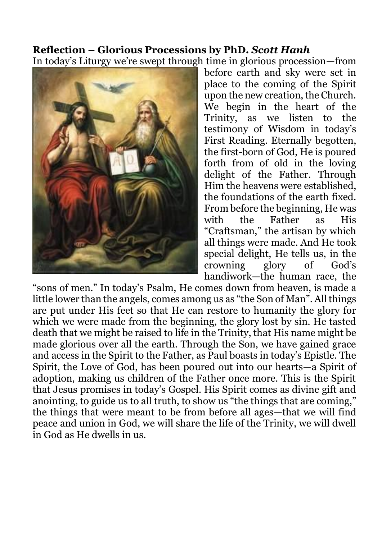# **Reflection – Glorious Processions by PhD***. Scott Hanh*

In today's Liturgy we're swept through time in glorious procession—from



before earth and sky were set in place to the coming of the Spirit upon the new creation, the Church. We begin in the heart of the Trinity, as we listen to the testimony of Wisdom in today's First Reading. Eternally begotten, the first-born of God, He is poured forth from of old in the loving delight of the Father. Through Him the heavens were established, the foundations of the earth fixed. From before the beginning, He was with the Father as His "Craftsman," the artisan by which all things were made. And He took special delight, He tells us, in the crowning glory of God's handiwork—the human race, the

"sons of men." In today's Psalm, He comes down from heaven, is made a little lower than the angels, comes among us as "the Son of Man". All things are put under His feet so that He can restore to humanity the glory for which we were made from the beginning, the glory lost by sin. He tasted death that we might be raised to life in the Trinity, that His name might be made glorious over all the earth. Through the Son, we have gained grace and access in the Spirit to the Father, as Paul boasts in today's Epistle. The Spirit, the Love of God, has been poured out into our hearts—a Spirit of adoption, making us children of the Father once more. This is the Spirit that Jesus promises in today's Gospel. His Spirit comes as divine gift and anointing, to guide us to all truth, to show us "the things that are coming," the things that were meant to be from before all ages—that we will find peace and union in God, we will share the life of the Trinity, we will dwell in God as He dwells in us.